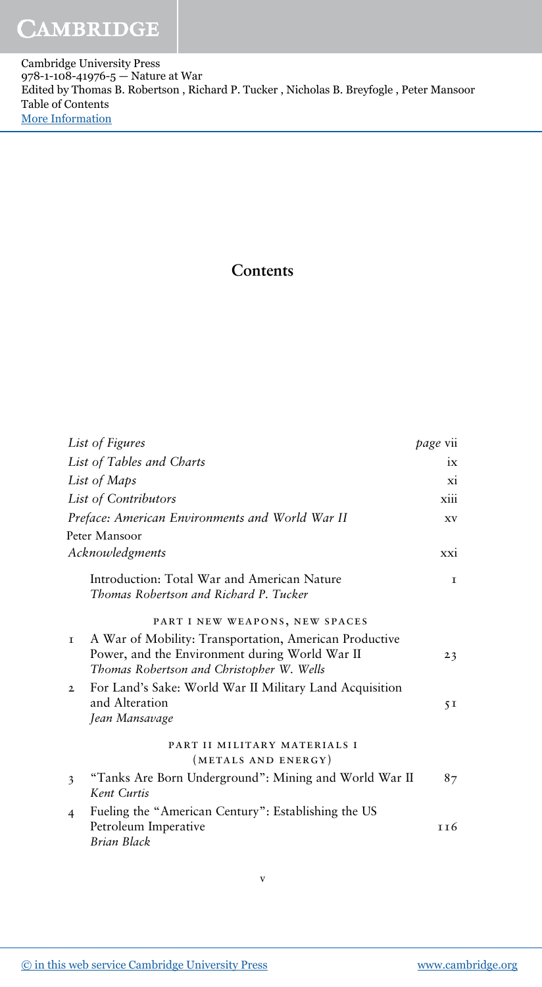## **CAMBRIDGE**

Cambridge University Press 978-1-108-41976-5 — Nature at War Edited by Thomas B. Robertson , Richard P. Tucker , Nicholas B. Breyfogle , Peter Mansoor Table of Contents [More Information](www.cambridge.org/9781108419765)

## **Contents**

| List of Figures                                                                                                                                             | page vii       |
|-------------------------------------------------------------------------------------------------------------------------------------------------------------|----------------|
| List of Tables and Charts                                                                                                                                   | 1X             |
| List of Maps                                                                                                                                                | X1             |
| List of Contributors                                                                                                                                        | xiii           |
| Preface: American Environments and World War II                                                                                                             | <b>XV</b>      |
| Peter Mansoor                                                                                                                                               |                |
| Acknowledgments                                                                                                                                             | xxi            |
| Introduction: Total War and American Nature<br>Thomas Robertson and Richard P. Tucker                                                                       | I              |
| PART I NEW WEAPONS, NEW SPACES                                                                                                                              |                |
| A War of Mobility: Transportation, American Productive<br>T.<br>Power, and the Environment during World War II<br>Thomas Robertson and Christopher W. Wells | 23             |
| For Land's Sake: World War II Military Land Acquisition<br>$\mathfrak{D}$<br>and Alteration<br>Jean Mansavage                                               | 5 <sub>I</sub> |
| PART II MILITARY MATERIALS I<br>(METALS AND ENERGY)                                                                                                         |                |
| "Tanks Are Born Underground": Mining and World War II<br>3<br>Kent Curtis                                                                                   | 87             |
| Fueling the "American Century": Establishing the US<br>4<br>Petroleum Imperative<br>Brian Black                                                             | т т 6          |